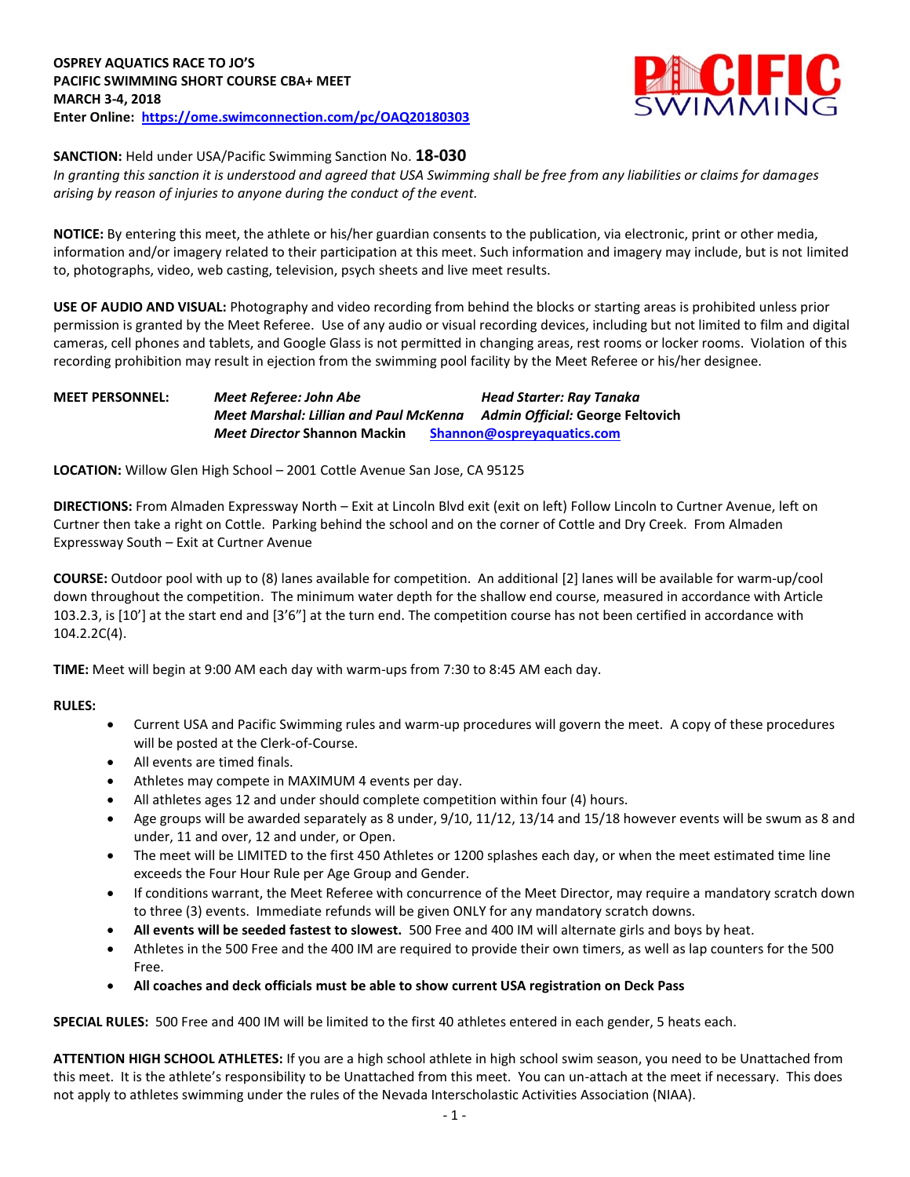

## **SANCTION:** Held under USA/Pacific Swimming Sanction No. **18-030**

*In granting this sanction it is understood and agreed that USA Swimming shall be free from any liabilities or claims for damages arising by reason of injuries to anyone during the conduct of the event.*

**NOTICE:** By entering this meet, the athlete or his/her guardian consents to the publication, via electronic, print or other media, information and/or imagery related to their participation at this meet. Such information and imagery may include, but is not limited to, photographs, video, web casting, television, psych sheets and live meet results.

**USE OF AUDIO AND VISUAL:** Photography and video recording from behind the blocks or starting areas is prohibited unless prior permission is granted by the Meet Referee. Use of any audio or visual recording devices, including but not limited to film and digital cameras, cell phones and tablets, and Google Glass is not permitted in changing areas, rest rooms or locker rooms. Violation of this recording prohibition may result in ejection from the swimming pool facility by the Meet Referee or his/her designee.

# **MEET PERSONNEL:** *Meet Referee: John Abe Head Starter: Ray Tanaka Meet Marshal: Lillian and Paul McKenna Admin Official:* **George Feltovich** *Meet Director* **Shannon Mackin [Shannon@ospreyaquatics.com](mailto:Shannon@ospreyaquatics.com)**

**LOCATION:** Willow Glen High School – 2001 Cottle Avenue San Jose, CA 95125

**DIRECTIONS:** From Almaden Expressway North – Exit at Lincoln Blvd exit (exit on left) Follow Lincoln to Curtner Avenue, left on Curtner then take a right on Cottle. Parking behind the school and on the corner of Cottle and Dry Creek. From Almaden Expressway South – Exit at Curtner Avenue

**COURSE:** Outdoor pool with up to (8) lanes available for competition. An additional [2] lanes will be available for warm-up/cool down throughout the competition. The minimum water depth for the shallow end course, measured in accordance with Article 103.2.3, is [10'] at the start end and [3'6"] at the turn end. The competition course has not been certified in accordance with 104.2.2C(4).

**TIME:** Meet will begin at 9:00 AM each day with warm-ups from 7:30 to 8:45 AM each day.

## **RULES:**

- Current USA and Pacific Swimming rules and warm-up procedures will govern the meet. A copy of these procedures will be posted at the Clerk-of-Course.
- All events are timed finals.
- Athletes may compete in MAXIMUM 4 events per day.
- All athletes ages 12 and under should complete competition within four (4) hours.
- Age groups will be awarded separately as 8 under, 9/10, 11/12, 13/14 and 15/18 however events will be swum as 8 and under, 11 and over, 12 and under, or Open.
- The meet will be LIMITED to the first 450 Athletes or 1200 splashes each day, or when the meet estimated time line exceeds the Four Hour Rule per Age Group and Gender.
- If conditions warrant, the Meet Referee with concurrence of the Meet Director, may require a mandatory scratch down to three (3) events. Immediate refunds will be given ONLY for any mandatory scratch downs.
- **All events will be seeded fastest to slowest.** 500 Free and 400 IM will alternate girls and boys by heat.
- Athletes in the 500 Free and the 400 IM are required to provide their own timers, as well as lap counters for the 500 Free.
- **All coaches and deck officials must be able to show current USA registration on Deck Pass**

**SPECIAL RULES:** 500 Free and 400 IM will be limited to the first 40 athletes entered in each gender, 5 heats each.

**ATTENTION HIGH SCHOOL ATHLETES:** If you are a high school athlete in high school swim season, you need to be Unattached from this meet. It is the athlete's responsibility to be Unattached from this meet. You can un-attach at the meet if necessary. This does not apply to athletes swimming under the rules of the Nevada Interscholastic Activities Association (NIAA).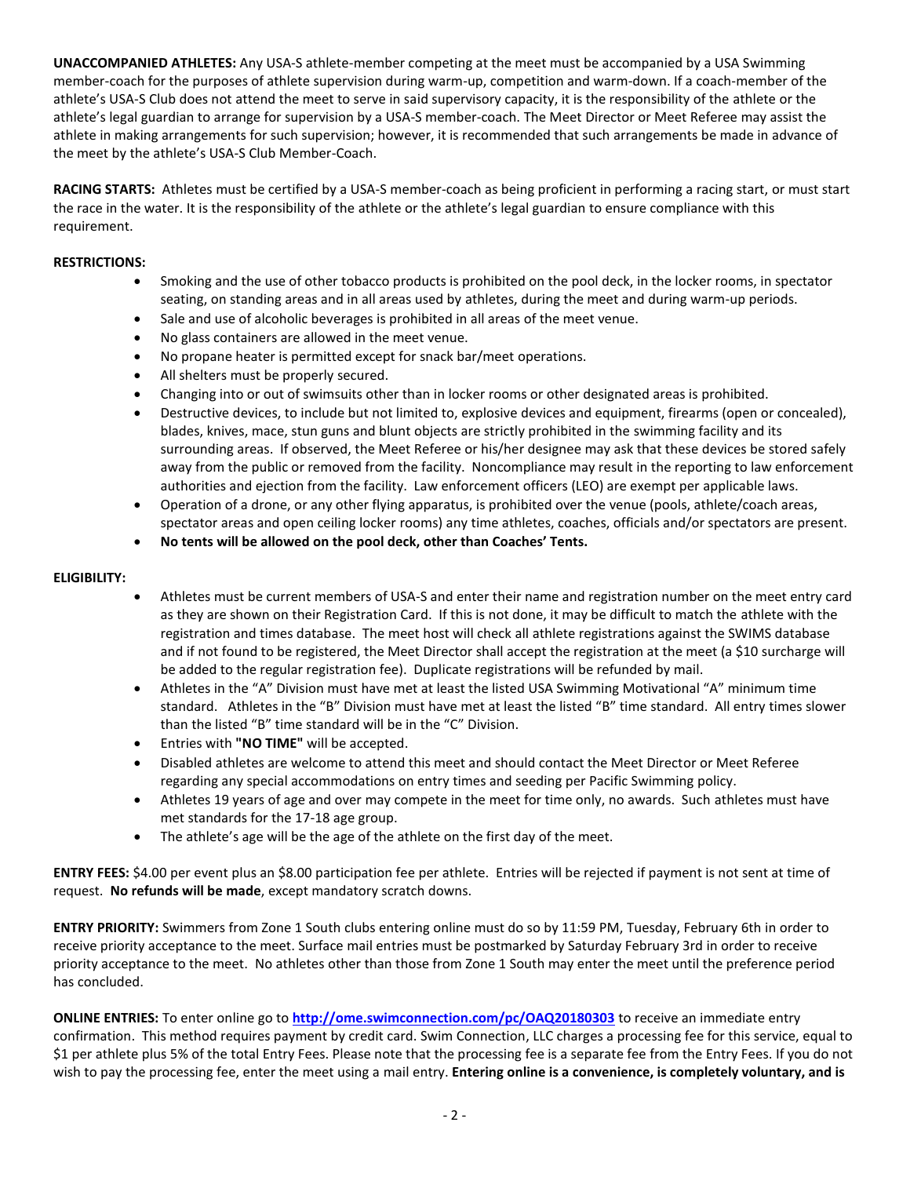**UNACCOMPANIED ATHLETES:** Any USA-S athlete-member competing at the meet must be accompanied by a USA Swimming member-coach for the purposes of athlete supervision during warm-up, competition and warm-down. If a coach-member of the athlete's USA-S Club does not attend the meet to serve in said supervisory capacity, it is the responsibility of the athlete or the athlete's legal guardian to arrange for supervision by a USA-S member-coach. The Meet Director or Meet Referee may assist the athlete in making arrangements for such supervision; however, it is recommended that such arrangements be made in advance of the meet by the athlete's USA-S Club Member-Coach.

**RACING STARTS:** Athletes must be certified by a USA-S member-coach as being proficient in performing a racing start, or must start the race in the water. It is the responsibility of the athlete or the athlete's legal guardian to ensure compliance with this requirement.

## **RESTRICTIONS:**

- Smoking and the use of other tobacco products is prohibited on the pool deck, in the locker rooms, in spectator seating, on standing areas and in all areas used by athletes, during the meet and during warm-up periods.
- Sale and use of alcoholic beverages is prohibited in all areas of the meet venue.
- No glass containers are allowed in the meet venue.
- No propane heater is permitted except for snack bar/meet operations.
- All shelters must be properly secured.
- Changing into or out of swimsuits other than in locker rooms or other designated areas is prohibited.
- Destructive devices, to include but not limited to, explosive devices and equipment, firearms (open or concealed), blades, knives, mace, stun guns and blunt objects are strictly prohibited in the swimming facility and its surrounding areas. If observed, the Meet Referee or his/her designee may ask that these devices be stored safely away from the public or removed from the facility. Noncompliance may result in the reporting to law enforcement authorities and ejection from the facility. Law enforcement officers (LEO) are exempt per applicable laws.
- Operation of a drone, or any other flying apparatus, is prohibited over the venue (pools, athlete/coach areas, spectator areas and open ceiling locker rooms) any time athletes, coaches, officials and/or spectators are present.
- **No tents will be allowed on the pool deck, other than Coaches' Tents.**

## **ELIGIBILITY:**

- Athletes must be current members of USA-S and enter their name and registration number on the meet entry card as they are shown on their Registration Card. If this is not done, it may be difficult to match the athlete with the registration and times database. The meet host will check all athlete registrations against the SWIMS database and if not found to be registered, the Meet Director shall accept the registration at the meet (a \$10 surcharge will be added to the regular registration fee). Duplicate registrations will be refunded by mail.
- Athletes in the "A" Division must have met at least the listed USA Swimming Motivational "A" minimum time standard. Athletes in the "B" Division must have met at least the listed "B" time standard. All entry times slower than the listed "B" time standard will be in the "C" Division.
- Entries with **"NO TIME"** will be accepted.
- Disabled athletes are welcome to attend this meet and should contact the Meet Director or Meet Referee regarding any special accommodations on entry times and seeding per Pacific Swimming policy.
- Athletes 19 years of age and over may compete in the meet for time only, no awards. Such athletes must have met standards for the 17-18 age group.
- The athlete's age will be the age of the athlete on the first day of the meet.

**ENTRY FEES:** \$4.00 per event plus an \$8.00 participation fee per athlete. Entries will be rejected if payment is not sent at time of request. **No refunds will be made**, except mandatory scratch downs.

**ENTRY PRIORITY:** Swimmers from Zone 1 South clubs entering online must do so by 11:59 PM, Tuesday, February 6th in order to receive priority acceptance to the meet. Surface mail entries must be postmarked by Saturday February 3rd in order to receive priority acceptance to the meet. No athletes other than those from Zone 1 South may enter the meet until the preference period has concluded.

**ONLINE ENTRIES:** To enter online go to **<http://ome.swimconnection.com/pc/OAQ20180303>** to receive an immediate entry confirmation. This method requires payment by credit card. Swim Connection, LLC charges a processing fee for this service, equal to \$1 per athlete plus 5% of the total Entry Fees. Please note that the processing fee is a separate fee from the Entry Fees. If you do not wish to pay the processing fee, enter the meet using a mail entry. **Entering online is a convenience, is completely voluntary, and is**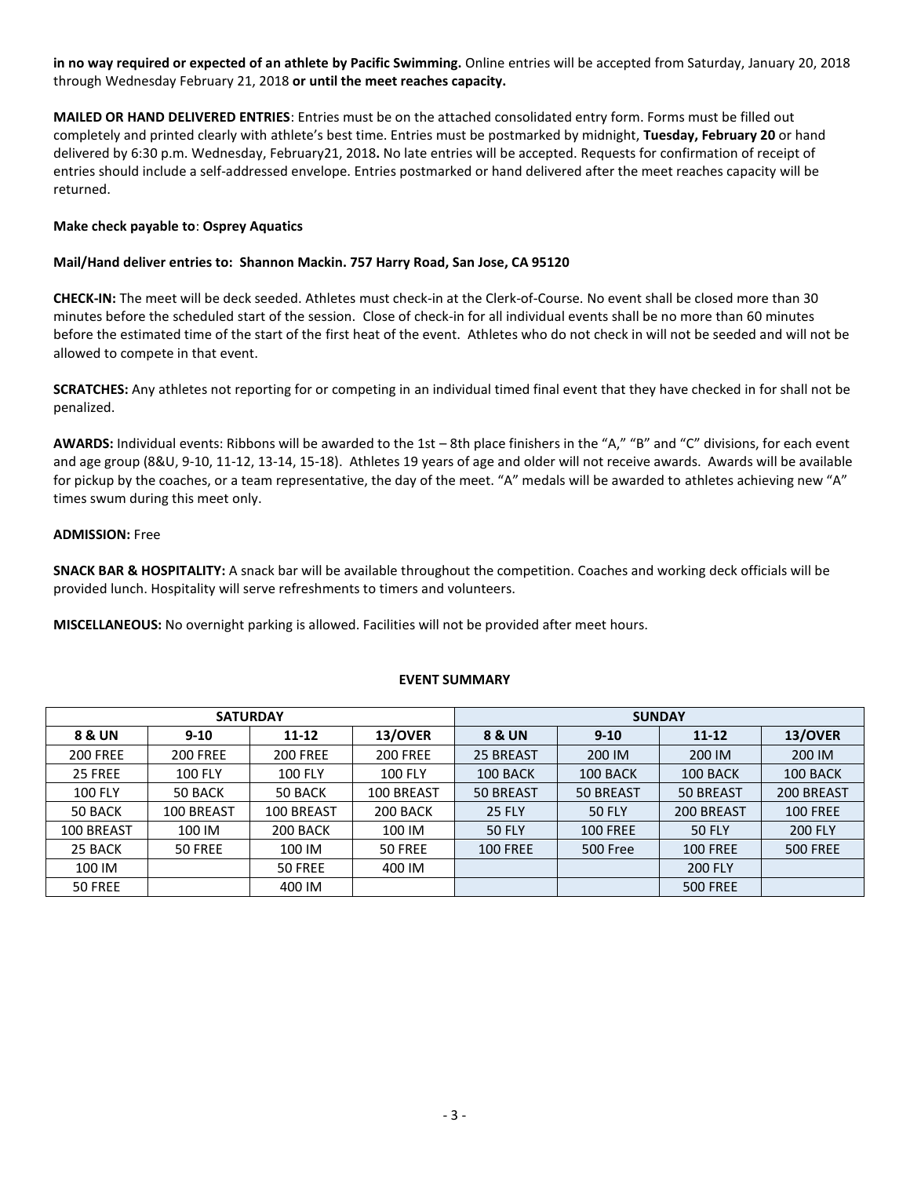**in no way required or expected of an athlete by Pacific Swimming.** Online entries will be accepted from Saturday, January 20, 2018 through Wednesday February 21, 2018 **or until the meet reaches capacity.**

**MAILED OR HAND DELIVERED ENTRIES**: Entries must be on the attached consolidated entry form. Forms must be filled out completely and printed clearly with athlete's best time. Entries must be postmarked by midnight, **Tuesday, February 20** or hand delivered by 6:30 p.m. Wednesday, February21, 2018**.** No late entries will be accepted. Requests for confirmation of receipt of entries should include a self-addressed envelope. Entries postmarked or hand delivered after the meet reaches capacity will be returned.

## **Make check payable to**: **Osprey Aquatics**

#### **Mail/Hand deliver entries to: Shannon Mackin. 757 Harry Road, San Jose, CA 95120**

**CHECK-IN:** The meet will be deck seeded. Athletes must check-in at the Clerk-of-Course. No event shall be closed more than 30 minutes before the scheduled start of the session. Close of check-in for all individual events shall be no more than 60 minutes before the estimated time of the start of the first heat of the event. Athletes who do not check in will not be seeded and will not be allowed to compete in that event.

**SCRATCHES:** Any athletes not reporting for or competing in an individual timed final event that they have checked in for shall not be penalized.

**AWARDS:** Individual events: Ribbons will be awarded to the 1st – 8th place finishers in the "A," "B" and "C" divisions, for each event and age group (8&U, 9-10, 11-12, 13-14, 15-18). Athletes 19 years of age and older will not receive awards. Awards will be available for pickup by the coaches, or a team representative, the day of the meet. "A" medals will be awarded to athletes achieving new "A" times swum during this meet only.

#### **ADMISSION:** Free

**SNACK BAR & HOSPITALITY:** A snack bar will be available throughout the competition. Coaches and working deck officials will be provided lunch. Hospitality will serve refreshments to timers and volunteers.

**MISCELLANEOUS:** No overnight parking is allowed. Facilities will not be provided after meet hours.

|                 | <b>SATURDAY</b> |                 |                 | <b>SUNDAY</b>   |                 |                 |                 |  |  |
|-----------------|-----------------|-----------------|-----------------|-----------------|-----------------|-----------------|-----------------|--|--|
| 8 & UN          | $9 - 10$        | $11 - 12$       | 13/OVER         | 8 & UN          | $9 - 10$        | $11 - 12$       | 13/OVER         |  |  |
| <b>200 FREE</b> | <b>200 FREE</b> | <b>200 FREE</b> | <b>200 FREE</b> | 25 BREAST       | 200 IM          | 200 IM          | 200 IM          |  |  |
| 25 FREE         | <b>100 FLY</b>  | <b>100 FLY</b>  | <b>100 FLY</b>  | 100 BACK        | 100 BACK        | 100 BACK        | 100 BACK        |  |  |
| <b>100 FLY</b>  | 50 BACK         | 50 BACK         | 100 BREAST      | 50 BREAST       | 50 BREAST       | 50 BREAST       | 200 BREAST      |  |  |
| 50 BACK         | 100 BREAST      | 100 BREAST      | 200 BACK        | <b>25 FLY</b>   | <b>50 FLY</b>   | 200 BREAST      | <b>100 FREE</b> |  |  |
| 100 BREAST      | 100 IM          | 200 BACK        | 100 IM          | <b>50 FLY</b>   | <b>100 FREE</b> | <b>50 FLY</b>   | <b>200 FLY</b>  |  |  |
| 25 BACK         | 50 FREE         | 100 IM          | 50 FREE         | <b>100 FREE</b> | 500 Free        | <b>100 FREE</b> | <b>500 FREE</b> |  |  |
| 100 IM          |                 | 50 FREE         | 400 IM          |                 |                 | <b>200 FLY</b>  |                 |  |  |
| 50 FREE         |                 | 400 IM          |                 |                 |                 | <b>500 FREE</b> |                 |  |  |

## **EVENT SUMMARY**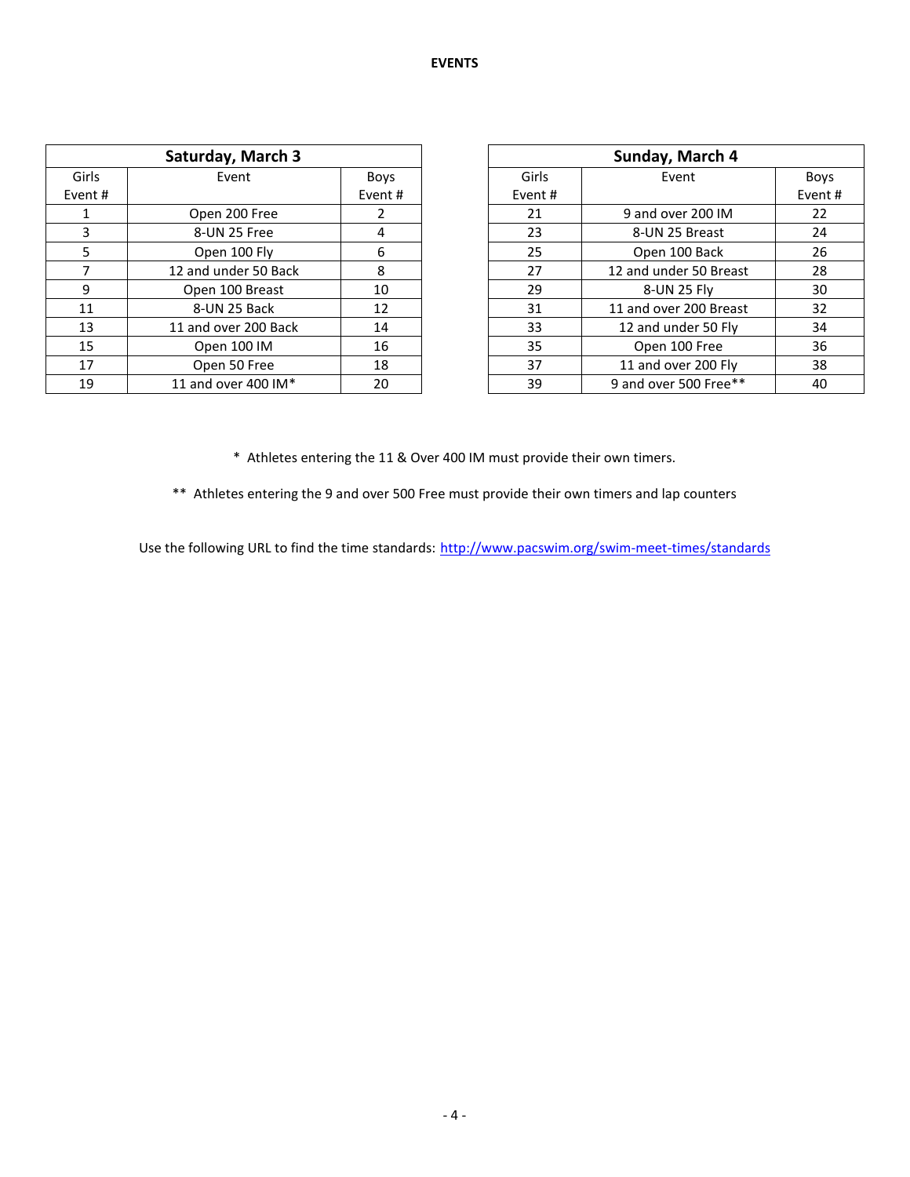|         | Saturday, March 3    |             | Sunday, March 4 |                        |      |  |  |
|---------|----------------------|-------------|-----------------|------------------------|------|--|--|
| Girls   | Event                | <b>Boys</b> | Girls           | Event                  | Boy  |  |  |
| Event # |                      | Event#      | Event#          |                        | Even |  |  |
|         | Open 200 Free        | 2           | 21              | 9 and over 200 IM      | 22   |  |  |
| 3       | 8-UN 25 Free         | 4           | 23              | 8-UN 25 Breast         | 24   |  |  |
| 5.      | Open 100 Fly         | 6           | 25              | Open 100 Back          | 26   |  |  |
|         | 12 and under 50 Back | 8           | 27              | 12 and under 50 Breast | 28   |  |  |
| 9       | Open 100 Breast      | 10          | 29              | 8-UN 25 Flv            | 30   |  |  |
| 11      | 8-UN 25 Back         | 12          | 31              | 11 and over 200 Breast | 32   |  |  |
| 13      | 11 and over 200 Back | 14          | 33              | 12 and under 50 Fly    | 34   |  |  |
| 15      | Open 100 IM          | 16          | 35              | Open 100 Free          | 36   |  |  |
| 17      | Open 50 Free         | 18          | 37              | 11 and over 200 Fly    | 38   |  |  |
| 19      | 11 and over 400 IM*  | 20          | 39              | 9 and over 500 Free**  | 40   |  |  |

| Sunday, March 4 |                        |             |  |  |  |  |  |
|-----------------|------------------------|-------------|--|--|--|--|--|
| Girls           | Event                  | <b>Boys</b> |  |  |  |  |  |
| Event#          |                        | Event#      |  |  |  |  |  |
| 21              | 9 and over 200 IM      | 22          |  |  |  |  |  |
| 23              | 8-UN 25 Breast         | 24          |  |  |  |  |  |
| 25              | Open 100 Back          | 26          |  |  |  |  |  |
| 27              | 12 and under 50 Breast | 28          |  |  |  |  |  |
| 29              | 8-UN 25 Fly            | 30          |  |  |  |  |  |
| 31              | 11 and over 200 Breast | 32          |  |  |  |  |  |
| 33              | 12 and under 50 Fly    | 34          |  |  |  |  |  |
| 35              | Open 100 Free          | 36          |  |  |  |  |  |
| 37              | 11 and over 200 Fly    | 38          |  |  |  |  |  |
| 39              | 9 and over 500 Free**  | 40          |  |  |  |  |  |

\* Athletes entering the 11 & Over 400 IM must provide their own timers.

\*\* Athletes entering the 9 and over 500 Free must provide their own timers and lap counters

Use the following URL to find the time standards: <http://www.pacswim.org/swim-meet-times/standards>